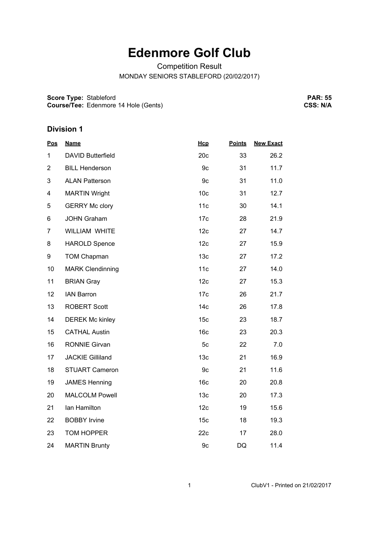## **Edenmore Golf Club**

Competition Result

MONDAY SENIORS STABLEFORD (20/02/2017)

**Score Type: Course/Tee:** Stableford Edenmore 14 Hole (Gents)

**PAR: 55 CSS: N/A**

## **Division 1**

| <b>Pos</b>     | <b>Name</b>             | Hcp             | <b>Points</b> | <b>New Exact</b> |
|----------------|-------------------------|-----------------|---------------|------------------|
| 1              | DAVID Butterfield       | 20c             | 33            | 26.2             |
| $\overline{2}$ | <b>BILL Henderson</b>   | 9c              | 31            | 11.7             |
| 3              | <b>ALAN Patterson</b>   | 9c              | 31            | 11.0             |
| 4              | <b>MARTIN Wright</b>    | 10 <sub>c</sub> | 31            | 12.7             |
| 5              | <b>GERRY Mc clory</b>   | 11c             | 30            | 14.1             |
| 6              | <b>JOHN Graham</b>      | 17 <sub>c</sub> | 28            | 21.9             |
| $\overline{7}$ | <b>WILLIAM WHITE</b>    | 12c             | 27            | 14.7             |
| 8              | <b>HAROLD Spence</b>    | 12 <sub>c</sub> | 27            | 15.9             |
| 9              | <b>TOM Chapman</b>      | 13 <sub>c</sub> | 27            | 17.2             |
| 10             | <b>MARK Clendinning</b> | 11c             | 27            | 14.0             |
| 11             | <b>BRIAN Gray</b>       | 12c             | 27            | 15.3             |
| 12             | <b>IAN Barron</b>       | 17 <sub>c</sub> | 26            | 21.7             |
| 13             | <b>ROBERT Scott</b>     | 14 <sub>c</sub> | 26            | 17.8             |
| 14             | <b>DEREK Mc kinley</b>  | 15 <sub>c</sub> | 23            | 18.7             |
| 15             | <b>CATHAL Austin</b>    | 16 <sub>c</sub> | 23            | 20.3             |
| 16             | <b>RONNIE Girvan</b>    | 5c              | 22            | 7.0              |
| 17             | <b>JACKIE Gilliland</b> | 13 <sub>c</sub> | 21            | 16.9             |
| 18             | <b>STUART Cameron</b>   | 9c              | 21            | 11.6             |
| 19             | <b>JAMES Henning</b>    | 16 <sub>c</sub> | 20            | 20.8             |
| 20             | <b>MALCOLM Powell</b>   | 13 <sub>c</sub> | 20            | 17.3             |
| 21             | Ian Hamilton            | 12c             | 19            | 15.6             |
| 22             | <b>BOBBY Irvine</b>     | 15 <sub>c</sub> | 18            | 19.3             |
| 23             | <b>TOM HOPPER</b>       | 22c             | 17            | 28.0             |
| 24             | <b>MARTIN Brunty</b>    | 9c              | DQ            | 11.4             |